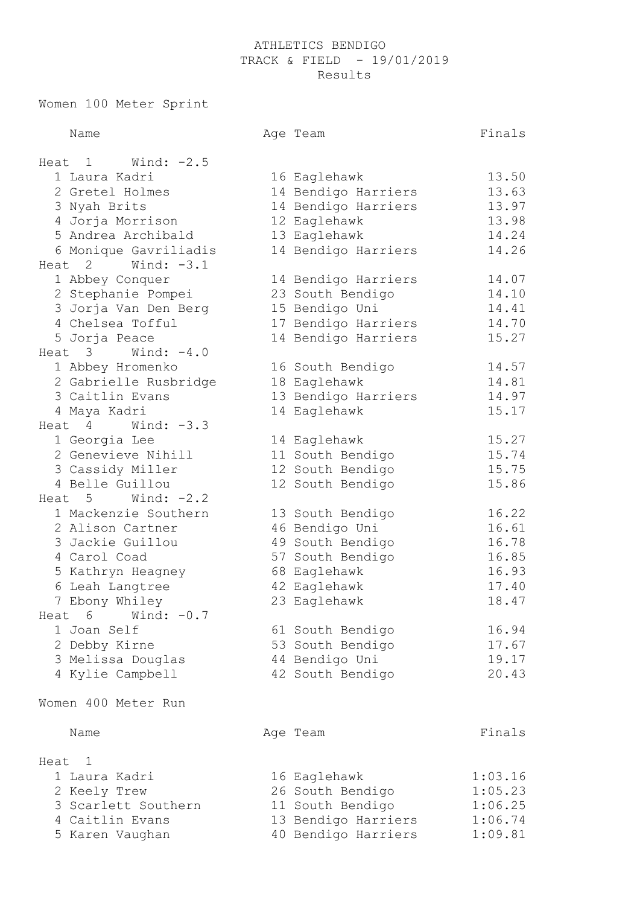## ATHLETICS BENDIGO TRACK & FIELD - 19/01/2019 Results

Women 100 Meter Sprint

| Name                   |  | Age Team            | Finals  |  |  |  |  |
|------------------------|--|---------------------|---------|--|--|--|--|
| Wind: $-2.5$<br>Heat 1 |  |                     |         |  |  |  |  |
| 1 Laura Kadri          |  | 16 Eaglehawk        | 13.50   |  |  |  |  |
| 2 Gretel Holmes        |  | 14 Bendigo Harriers | 13.63   |  |  |  |  |
| 3 Nyah Brits           |  | 14 Bendigo Harriers | 13.97   |  |  |  |  |
| 4 Jorja Morrison       |  | 12 Eaglehawk        | 13.98   |  |  |  |  |
| 5 Andrea Archibald     |  | 13 Eaglehawk        | 14.24   |  |  |  |  |
| 6 Monique Gavriliadis  |  | 14 Bendigo Harriers | 14.26   |  |  |  |  |
| Heat $2$ Wind: $-3.1$  |  |                     |         |  |  |  |  |
| 1 Abbey Conquer        |  | 14 Bendigo Harriers | 14.07   |  |  |  |  |
| 2 Stephanie Pompei     |  | 23 South Bendigo    | 14.10   |  |  |  |  |
| 3 Jorja Van Den Berg   |  | 15 Bendigo Uni      | 14.41   |  |  |  |  |
| 4 Chelsea Tofful       |  | 17 Bendigo Harriers | 14.70   |  |  |  |  |
| 5 Jorja Peace          |  | 14 Bendigo Harriers | 15.27   |  |  |  |  |
| Wind: $-4.0$<br>Heat 3 |  |                     |         |  |  |  |  |
| 1 Abbey Hromenko       |  | 16 South Bendigo    | 14.57   |  |  |  |  |
| 2 Gabrielle Rusbridge  |  | 18 Eaglehawk        | 14.81   |  |  |  |  |
| 3 Caitlin Evans        |  | 13 Bendigo Harriers | 14.97   |  |  |  |  |
| 4 Maya Kadri           |  | 14 Eaglehawk        | 15.17   |  |  |  |  |
| Wind: $-3.3$<br>Heat 4 |  |                     |         |  |  |  |  |
| 1 Georgia Lee          |  | 14 Eaglehawk        | 15.27   |  |  |  |  |
| 2 Genevieve Nihill     |  | 11 South Bendigo    | 15.74   |  |  |  |  |
| 3 Cassidy Miller       |  | 12 South Bendigo    | 15.75   |  |  |  |  |
| 4 Belle Guillou        |  | 12 South Bendigo    | 15.86   |  |  |  |  |
| Wind: $-2.2$<br>Heat 5 |  |                     |         |  |  |  |  |
| 1 Mackenzie Southern   |  | 13 South Bendigo    | 16.22   |  |  |  |  |
| 2 Alison Cartner       |  | 46 Bendigo Uni      | 16.61   |  |  |  |  |
| 3 Jackie Guillou       |  | 49 South Bendigo    | 16.78   |  |  |  |  |
| 4 Carol Coad           |  | 57 South Bendigo    | 16.85   |  |  |  |  |
| 5 Kathryn Heagney      |  | 68 Eaglehawk        | 16.93   |  |  |  |  |
| 6 Leah Langtree        |  | 42 Eaglehawk        | 17.40   |  |  |  |  |
| 7 Ebony Whiley         |  | 23 Eaglehawk        | 18.47   |  |  |  |  |
| Wind: $-0.7$<br>Heat 6 |  |                     |         |  |  |  |  |
| 1 Joan Self            |  | 61 South Bendigo    | 16.94   |  |  |  |  |
| 2 Debby Kirne          |  | 53 South Bendigo    | 17.67   |  |  |  |  |
| 3 Melissa Douglas      |  | 44 Bendigo Uni      | 19.17   |  |  |  |  |
| 4 Kylie Campbell       |  | 42 South Bendigo    | 20.43   |  |  |  |  |
| Women 400 Meter Run    |  |                     |         |  |  |  |  |
|                        |  |                     |         |  |  |  |  |
| Name                   |  | Age Team            | Finals  |  |  |  |  |
| Heat 1                 |  |                     |         |  |  |  |  |
| 1 Laura Kadri          |  | 16 Eaglehawk        | 1:03.16 |  |  |  |  |
| 2 Keely Trew           |  | 26 South Bendigo    | 1:05.23 |  |  |  |  |
| 3 Scarlett Southern    |  | 11 South Bendigo    | 1:06.25 |  |  |  |  |
| 4 Caitlin Evans        |  | 13 Bendigo Harriers | 1:06.74 |  |  |  |  |

5 Karen Vaughan 40 Bendigo Harriers 1:09.81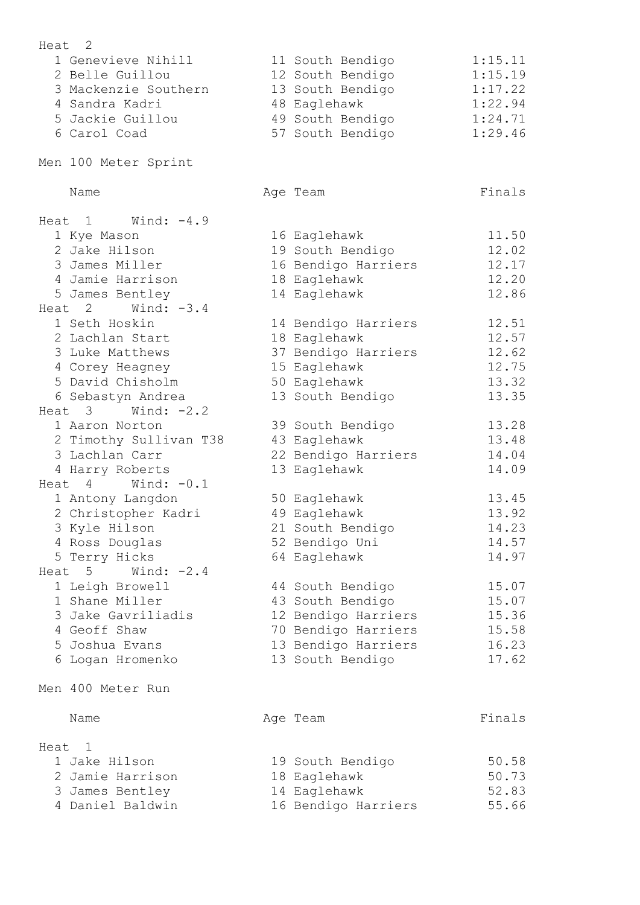| 2<br>Heat                              |                     |         |
|----------------------------------------|---------------------|---------|
| 1 Genevieve Nihill                     | 11 South Bendigo    | 1:15.11 |
| 2 Belle Guillou                        | 12 South Bendigo    | 1:15.19 |
| 3 Mackenzie Southern                   | 13 South Bendigo    | 1:17.22 |
| 4 Sandra Kadri                         | 48 Eaglehawk        | 1:22.94 |
| 5 Jackie Guillou                       | 49 South Bendigo    | 1:24.71 |
| 6 Carol Coad                           | 57 South Bendigo    | 1:29.46 |
|                                        |                     |         |
| Men 100 Meter Sprint                   |                     |         |
| Name                                   | Age Team            | Finals  |
| Heat $1$ Wind: $-4.9$                  |                     |         |
| 1 Kye Mason                            | 16 Eaglehawk        | 11.50   |
| 2 Jake Hilson                          | 19 South Bendigo    | 12.02   |
| 3 James Miller                         | 16 Bendigo Harriers | 12.17   |
| 4 Jamie Harrison                       | 18 Eaglehawk        | 12.20   |
| 5 James Bentley                        | 14 Eaglehawk        | 12.86   |
| Wind: $-3.4$<br>Heat <sub>2</sub>      |                     |         |
| 1 Seth Hoskin                          | 14 Bendigo Harriers | 12.51   |
| 2 Lachlan Start                        | 18 Eaglehawk        | 12.57   |
| 3 Luke Matthews                        | 37 Bendigo Harriers | 12.62   |
| 4 Corey Heagney                        | 15 Eaglehawk        | 12.75   |
| 5 David Chisholm                       |                     | 13.32   |
|                                        | 50 Eaglehawk        |         |
| 6 Sebastyn Andrea<br>Heat 3            | 13 South Bendigo    | 13.35   |
| Wind: $-2.2$                           |                     |         |
| 1 Aaron Norton                         | 39 South Bendigo    | 13.28   |
| 2 Timothy Sullivan T38                 | 43 Eaglehawk        | 13.48   |
| 3 Lachlan Carr                         | 22 Bendigo Harriers | 14.04   |
| 4 Harry Roberts                        | 13 Eaglehawk        | 14.09   |
| Wind: $-0.1$<br>$\overline{4}$<br>Heat |                     |         |
| 1 Antony Langdon                       | 50 Eaglehawk        | 13.45   |
| 2 Christopher Kadri                    | 49 Eaglehawk        | 13.92   |
| 3 Kyle Hilson                          | 21 South Bendigo    | 14.23   |
| 4 Ross Douglas                         | 52 Bendigo Uni      | 14.57   |
| 5 Terry Hicks                          | 64 Eaglehawk        | 14.97   |
| Wind: $-2.4$<br>Heat 5                 |                     |         |
| 1 Leigh Browell                        | 44 South Bendigo    | 15.07   |
| 1 Shane Miller                         | 43 South Bendigo    | 15.07   |
| 3 Jake Gavriliadis                     | 12 Bendigo Harriers | 15.36   |
| 4 Geoff Shaw                           | 70 Bendigo Harriers | 15.58   |
| 5 Joshua Evans                         | 13 Bendigo Harriers | 16.23   |
| 6 Logan Hromenko                       | 13 South Bendigo    | 17.62   |
| Men 400 Meter Run                      |                     |         |
|                                        |                     |         |
| Name                                   | Age Team            | Finals  |
| Heat<br>1                              |                     |         |
| 1 Jake Hilson                          | 19 South Bendigo    | 50.58   |
| 2 Jamie Harrison                       | 18 Eaglehawk        | 50.73   |
| 3 James Bentley                        | 14 Eaglehawk        | 52.83   |
| 4 Daniel Baldwin                       | 16 Bendigo Harriers | 55.66   |
|                                        |                     |         |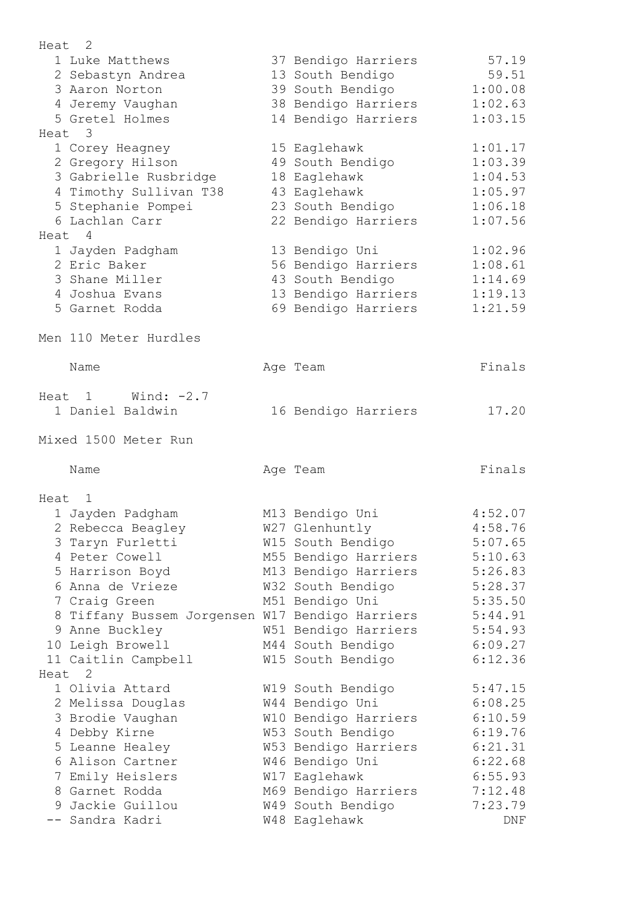| Heat <sub>2</sub> |                                                 |                                    |                |
|-------------------|-------------------------------------------------|------------------------------------|----------------|
|                   | 1 Luke Matthews                                 | 37 Bendigo Harriers                | 57.19          |
|                   | 2 Sebastyn Andrea                               | 13 South Bendigo                   | 59.51          |
|                   | 3 Aaron Norton                                  | 39 South Bendigo                   | 1:00.08        |
|                   | 4 Jeremy Vaughan                                | 38 Bendigo Harriers                | 1:02.63        |
|                   | 5 Gretel Holmes                                 | 14 Bendigo Harriers                | 1:03.15        |
| Heat 3            |                                                 |                                    |                |
|                   | 1 Corey Heagney                                 | 15 Eaglehawk                       | 1:01.17        |
|                   | 2 Gregory Hilson                                | 49 South Bendigo                   | 1:03.39        |
|                   | 3 Gabrielle Rusbridge                           | 18 Eaglehawk                       | 1:04.53        |
|                   | 4 Timothy Sullivan T38                          | 43 Eaglehawk                       | 1:05.97        |
|                   | 5 Stephanie Pompei                              | 23 South Bendigo                   | 1:06.18        |
|                   | 6 Lachlan Carr                                  | 22 Bendigo Harriers                | 1:07.56        |
| Heat 4            |                                                 |                                    |                |
|                   | 1 Jayden Padgham                                | 13 Bendigo Uni                     | 1:02.96        |
|                   | 2 Eric Baker                                    | 56 Bendigo Harriers                | 1:08.61        |
|                   | 3 Shane Miller                                  | 43 South Bendigo                   | 1:14.69        |
|                   | 4 Joshua Evans                                  | 13 Bendigo Harriers                | 1:19.13        |
|                   | 5 Garnet Rodda                                  | 69 Bendigo Harriers                | 1:21.59        |
|                   |                                                 |                                    |                |
|                   | Men 110 Meter Hurdles                           |                                    |                |
|                   | Name                                            | Age Team                           | Finals         |
|                   |                                                 |                                    |                |
|                   | Heat $1$ Wind: $-2.7$                           |                                    |                |
|                   | 1 Daniel Baldwin                                | 16 Bendigo Harriers                | 17.20          |
|                   | Mixed 1500 Meter Run                            |                                    |                |
|                   | Name                                            | Age Team                           | Finals         |
|                   |                                                 |                                    |                |
| Heat 1            |                                                 |                                    |                |
|                   | 1 Jayden Padgham                                | M13 Bendigo Uni                    | 4:52.07        |
|                   | 2 Rebecca Beagley                               | W27 Glenhuntly                     | 4:58.76        |
|                   | 3 Taryn Furletti                                | W15 South Bendigo                  | 5:07.65        |
|                   | 4 Peter Cowell                                  | M55 Bendigo Harriers               | 5:10.63        |
|                   | 5 Harrison Boyd                                 | M13 Bendigo Harriers               | 5:26.83        |
|                   | 6 Anna de Vrieze                                | W32 South Bendigo                  | 5:28.37        |
|                   | 7 Craig Green                                   | M51 Bendigo Uni                    | 5:35.50        |
|                   | 8 Tiffany Bussem Jorgensen W17 Bendigo Harriers |                                    | 5:44.91        |
|                   | 9 Anne Buckley                                  | W51 Bendigo Harriers               | 5:54.93        |
|                   | 10 Leigh Browell                                | M44 South Bendigo                  | 6:09.27        |
|                   | 11 Caitlin Campbell                             | W15 South Bendigo                  | 6:12.36        |
| Heat              | 2                                               |                                    |                |
|                   | 1 Olivia Attard                                 | W19 South Bendigo                  | 5:47.15        |
|                   | 2 Melissa Douglas                               | W44 Bendigo Uni                    | 6:08.25        |
|                   | 3 Brodie Vaughan                                | W10 Bendigo Harriers               | 6:10.59        |
|                   | 4 Debby Kirne                                   | W53 South Bendigo                  | 6:19.76        |
|                   | 5 Leanne Healey                                 | W53 Bendigo Harriers               | 6:21.31        |
|                   | 6 Alison Cartner                                | W46 Bendigo Uni                    | 6:22.68        |
|                   | 7 Emily Heislers                                | W17 Eaglehawk                      | 6:55.93        |
|                   |                                                 |                                    |                |
|                   | 8 Garnet Rodda                                  | M69 Bendigo Harriers               | 7:12.48        |
|                   | 9 Jackie Guillou<br>-- Sandra Kadri             | W49 South Bendigo<br>W48 Eaglehawk | 7:23.79<br>DNF |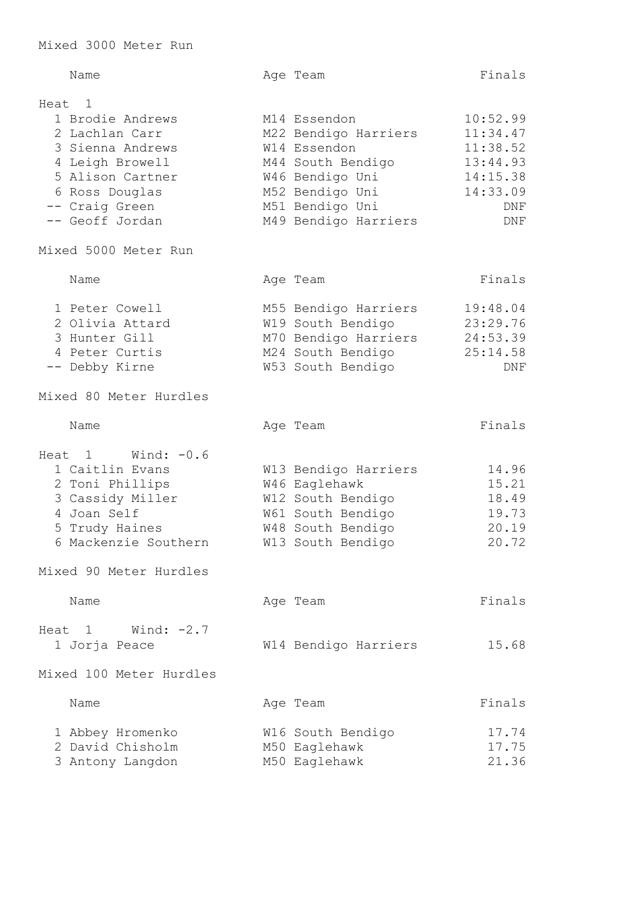|        | Name                    |  | Age Team             | Finals   |  |  |
|--------|-------------------------|--|----------------------|----------|--|--|
| Heat 1 |                         |  |                      |          |  |  |
|        | 1 Brodie Andrews        |  | M14 Essendon         | 10:52.99 |  |  |
|        | 2 Lachlan Carr          |  | M22 Bendigo Harriers | 11:34.47 |  |  |
|        | 3 Sienna Andrews        |  | W14 Essendon         | 11:38.52 |  |  |
|        | 4 Leigh Browell         |  | M44 South Bendigo    | 13:44.93 |  |  |
|        | 5 Alison Cartner        |  | W46 Bendigo Uni      | 14:15.38 |  |  |
|        | 6 Ross Douglas          |  | M52 Bendigo Uni      | 14:33.09 |  |  |
|        | -- Craig Green          |  | M51 Bendigo Uni      | DNF      |  |  |
|        | -- Geoff Jordan         |  | M49 Bendigo Harriers | DNF      |  |  |
|        | Mixed 5000 Meter Run    |  |                      |          |  |  |
|        |                         |  |                      |          |  |  |
|        | Name                    |  | Age Team             | Finals   |  |  |
|        | 1 Peter Cowell          |  | M55 Bendigo Harriers | 19:48.04 |  |  |
|        | 2 Olivia Attard         |  | W19 South Bendigo    | 23:29.76 |  |  |
|        | 3 Hunter Gill           |  | M70 Bendigo Harriers | 24:53.39 |  |  |
|        | 4 Peter Curtis          |  | M24 South Bendigo    | 25:14.58 |  |  |
|        | -- Debby Kirne          |  | W53 South Bendigo    | DNF      |  |  |
|        | Mixed 80 Meter Hurdles  |  |                      |          |  |  |
|        | Name                    |  | Age Team             | Finals   |  |  |
| Heat   | Wind: $-0.6$<br>1       |  |                      |          |  |  |
|        | 1 Caitlin Evans         |  | W13 Bendigo Harriers | 14.96    |  |  |
|        | 2 Toni Phillips         |  | W46 Eaglehawk        | 15.21    |  |  |
|        | 3 Cassidy Miller        |  | W12 South Bendigo    | 18.49    |  |  |
|        | 4 Joan Self             |  | W61 South Bendigo    | 19.73    |  |  |
|        | 5 Trudy Haines          |  | W48 South Bendigo    | 20.19    |  |  |
|        | 6 Mackenzie Southern    |  | W13 South Bendigo    | 20.72    |  |  |
|        | Mixed 90 Meter Hurdles  |  |                      |          |  |  |
|        | Name                    |  | Age Team             | Finals   |  |  |
|        | Heat $1$ Wind: $-2.7$   |  |                      |          |  |  |
|        | 1 Jorja Peace           |  | W14 Bendigo Harriers | 15.68    |  |  |
|        | Mixed 100 Meter Hurdles |  |                      |          |  |  |
|        | Name                    |  | Age Team             | Finals   |  |  |
|        | 1 Abbey Hromenko        |  | W16 South Bendigo    | 17.74    |  |  |
|        | 2 David Chisholm        |  | M50 Eaglehawk        | 17.75    |  |  |
|        | 3 Antony Langdon        |  | M50 Eaglehawk        | 21.36    |  |  |
|        |                         |  |                      |          |  |  |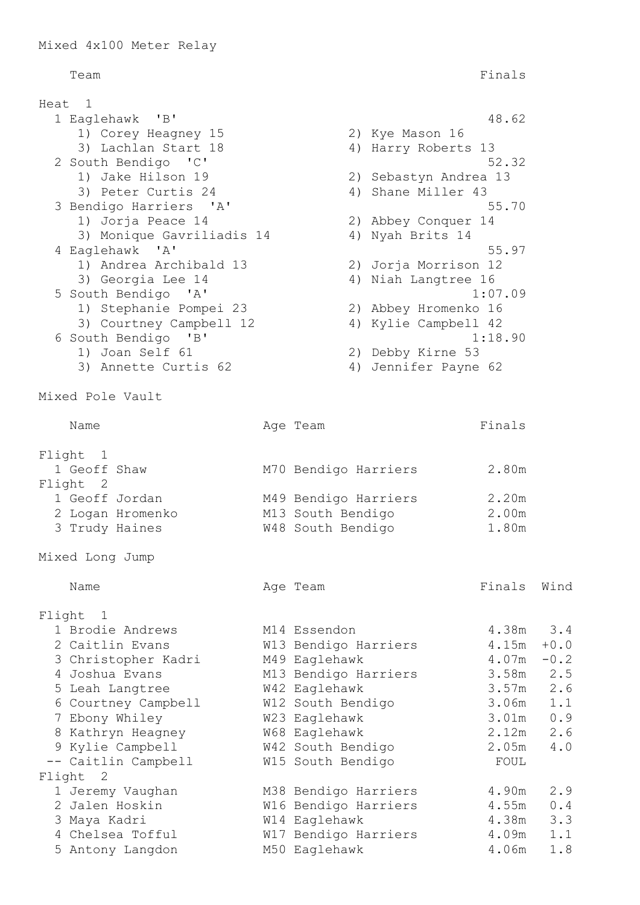## Team Finals

Heat 1 1 Eaglehawk 'B' 48.62 1) Corey Heagney 15 2) Kye Mason 16 3) Lachlan Start 18 4) Harry Roberts 13 2 South Bendigo 'C' 52.32 1) Jake Hilson 19 2) Sebastyn Andrea 13 3) Peter Curtis 24 4) Shane Miller 43 3 Bendigo Harriers 'A' 55.70 1) Jorja Peace 14 2) Abbey Conquer 14 3) Monique Gavriliadis 14 4) Nyah Brits 14 4 Eaglehawk 'A' 55.97 1) Andrea Archibald 13 2) Jorja Morrison 12 3) Georgia Lee 14 4) Niah Langtree 16 5 South Bendigo 'A' 1:07.09 1) Stephanie Pompei 23 2) Abbey Hromenko 16 3) Courtney Campbell 12 4) Kylie Campbell 42 6 South Bendigo 'B' 1:18.90 1) Joan Self 61 2) Debby Kirne 53 3) Annette Curtis 62 (4) Jennifer Payne 62 Mixed Pole Vault Name Ream Age Team Rinals Flight 1 1 Geoff Shaw M70 Bendigo Harriers 2.80m Flight 2 1 Geoff Jordan M49 Bendigo Harriers 2.20m 2 Logan Hromenko M13 South Bendigo 2.00m 3 Trudy Haines W48 South Bendigo 1.80m Mixed Long Jump Name **Age Team** Age Team Finals Wind Flight 1 1 Brodie Andrews M14 Essendon 4.38m 3.4 2 Caitlin Evans M13 Bendigo Harriers 4.15m +0.0 3 Christopher Kadri M49 Eaglehawk 4.07m -0.2 4 Joshua Evans M13 Bendigo Harriers 3.58m 2.5 5 Leah Langtree W42 Eaglehawk 3.57m 2.6 6 Courtney Campbell W12 South Bendigo 3.06m 1.1 7 Ebony Whiley W23 Eaglehawk 3.01m 0.9 8 Kathryn Heagney W68 Eaglehawk 2.12m 2.6 9 Kylie Campbell W42 South Bendigo 2.05m 4.0 -- Caitlin Campbell M15 South Bendigo FOUL Flight 2 1 Jeremy Vaughan M38 Bendigo Harriers 4.90m 2.9 2 Jalen Hoskin W16 Bendigo Harriers 4.55m 0.4 3 Maya Kadri W14 Eaglehawk 4.38m 3.3 4 Chelsea Tofful **W17 Bendigo Harriers** 4.09m 1.1

5 Antony Langdon M50 Eaglehawk 4.06m 1.8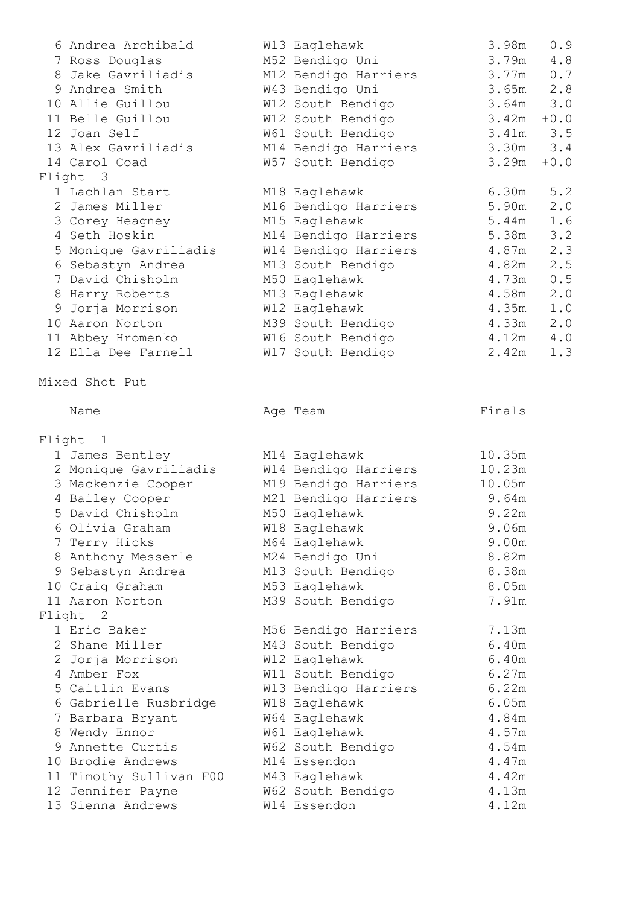| 6 Andrea Archibald                        | W13 Eaglehawk                             | 3.98m          | 0.9         |
|-------------------------------------------|-------------------------------------------|----------------|-------------|
| 7 Ross Douglas                            | M52 Bendigo Uni                           | 3.79m          | 4.8         |
| 8 Jake Gavriliadis                        | M12 Bendigo Harriers                      | 3.77m          | 0.7         |
| 9 Andrea Smith                            | W43 Bendigo Uni                           | $3.65m$ 2.8    |             |
| 10 Allie Guillou                          | W12 South Bendigo                         | $3.64m$ $3.0$  |             |
| 11 Belle Guillou                          | W12 South Bendigo                         | 3.42m          | $+0.0$      |
| 12 Joan Self                              | W61 South Bendigo                         | $3.41m$ $3.5$  |             |
| 13 Alex Gavriliadis                       | M14 Bendigo Harriers                      | $3.30m$ $3.4$  |             |
| 14 Carol Coad                             | W57 South Bendigo                         | 3.29m          | $+0.0$      |
| Flight 3                                  |                                           |                |             |
| 1 Lachlan Start                           | M18 Eaglehawk                             | 6.30m          | 5.2         |
| 2 James Miller                            | M16 Bendigo Harriers                      | 5.90m          | 2.0         |
| 3 Corey Heagney                           | M15 Eaglehawk                             | $5.44m$ 1.6    |             |
| 4 Seth Hoskin                             | M14 Bendigo Harriers                      | 5.38m<br>4.87m | $3 \cdot 2$ |
| 5 Monique Gavriliadis                     | W14 Bendigo Harriers                      | 4.82m          | 2.3<br>2.5  |
| 6 Sebastyn Andrea<br>7 David Chisholm     | M13 South Bendigo                         | 4.73m          | 0.5         |
| 8 Harry Roberts                           | M50 Eaglehawk<br>M13 Eaglehawk            | 4.58m          | 2.0         |
| 9 Jorja Morrison                          | W12 Eaglehawk                             | 4.35m          | 1.0         |
| 10 Aaron Norton                           | M39 South Bendigo                         | $4.33m$ $2.0$  |             |
| 11 Abbey Hromenko                         | W16 South Bendigo                         | $4.12m$ $4.0$  |             |
| 12 Ella Dee Farnell                       | W17 South Bendigo                         | 2.42m          | 1.3         |
|                                           |                                           |                |             |
| Mixed Shot Put                            |                                           |                |             |
| Name                                      | Age Team                                  | Finals         |             |
|                                           |                                           |                |             |
| Flight 1                                  |                                           |                |             |
| 1 James Bentley                           | M14 Eaglehawk                             | 10.35m         |             |
| 2 Monique Gavriliadis                     | W14 Bendigo Harriers                      | 10.23m         |             |
| 3 Mackenzie Cooper                        | M19 Bendigo Harriers                      | 10.05m         |             |
| 4 Bailey Cooper                           | M21 Bendigo Harriers                      | 9.64m          |             |
| 5 David Chisholm                          | M50 Eaglehawk                             | 9.22m          |             |
| 6 Olivia Graham                           | W18 Eaglehawk                             | 9.06m          |             |
| 7 Terry Hicks                             | M64 Eaglehawk                             | 9.00m          |             |
| 8 Anthony Messerle                        | M24 Bendigo Uni                           | 8.82m          |             |
| 9 Sebastyn Andrea                         | M13 South Bendigo                         | 8.38m          |             |
| 10 Craig Graham                           | M53 Eaglehawk                             | 8.05m          |             |
| 11 Aaron Norton                           | M39 South Bendigo                         | 7.91m          |             |
| Flight 2                                  |                                           |                |             |
| 1 Eric Baker                              | M56 Bendigo Harriers                      | 7.13m          |             |
| 2 Shane Miller                            | M43 South Bendigo                         | 6.40m<br>6.40m |             |
| 2 Jorja Morrison<br>4 Amber Fox           | W12 Eaglehawk                             | 6.27m          |             |
| 5 Caitlin Evans                           | W11 South Bendigo<br>W13 Bendigo Harriers | 6.22m          |             |
|                                           |                                           | 6.05m          |             |
| 6 Gabrielle Rusbridge<br>7 Barbara Bryant | W18 Eaglehawk<br>W64 Eaglehawk            | 4.84m          |             |
| 8 Wendy Ennor                             | W61 Eaglehawk                             | 4.57m          |             |
| Annette Curtis                            | W62 South Bendigo                         | 4.54m          |             |
| 10 Brodie Andrews                         | M14 Essendon                              | 4.47m          |             |
| 11 Timothy Sullivan F00                   | M43 Eaglehawk                             | 4.42m          |             |
| 12 Jennifer Payne                         | W62 South Bendigo                         | 4.13m          |             |
| 13 Sienna Andrews                         | W14 Essendon                              | 4.12m          |             |
|                                           |                                           |                |             |
|                                           |                                           |                |             |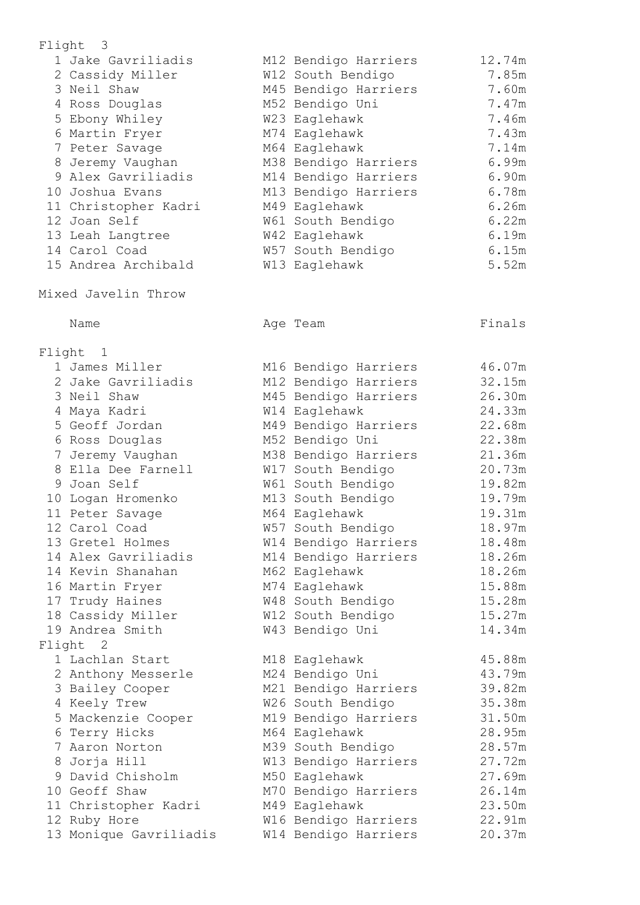| Flight | $\overline{\phantom{a}}$               |                                        |                  |
|--------|----------------------------------------|----------------------------------------|------------------|
|        | 1 Jake Gavriliadis                     | M12 Bendigo Harriers                   | 12.74m           |
|        | 2 Cassidy Miller                       | W12 South Bendigo                      | 7.85m            |
|        | 3 Neil Shaw                            | M45 Bendigo Harriers                   | 7.60m            |
|        | 4 Ross Douglas                         | M52 Bendigo Uni                        | 7.47m            |
|        | 5 Ebony Whiley                         | W23 Eaglehawk                          | 7.46m            |
|        | 6 Martin Fryer                         | M74 Eaglehawk                          | 7.43m            |
|        | 7 Peter Savage                         | M64 Eaglehawk                          | 7.14m            |
|        | 8 Jeremy Vaughan                       | M38 Bendigo Harriers                   | 6.99m            |
|        | 9 Alex Gavriliadis                     | M14 Bendigo Harriers                   | 6.90m            |
|        | 10 Joshua Evans                        | M13 Bendigo Harriers                   | 6.78m            |
|        | 11 Christopher Kadri                   | M49 Eaglehawk                          | 6.26m            |
|        | 12 Joan Self                           | W61 South Bendigo                      | 6.22m            |
|        | 13 Leah Langtree                       | W42 Eaglehawk                          | 6.19m            |
|        | 14 Carol Coad                          | W57 South Bendigo                      | 6.15m            |
|        | 15 Andrea Archibald                    | W13 Eaglehawk                          | 5.52m            |
|        | Mixed Javelin Throw                    |                                        |                  |
|        | Name                                   | Age Team                               | Finals           |
|        |                                        |                                        |                  |
| Flight | $\overline{\phantom{0}}$               |                                        |                  |
|        | 1 James Miller                         | M16 Bendigo Harriers                   | 46.07m           |
|        | 2 Jake Gavriliadis                     | M12 Bendigo Harriers                   | 32.15m           |
|        | 3 Neil Shaw                            | M45 Bendigo Harriers                   | 26.30m           |
|        | 4 Maya Kadri                           | W14 Eaglehawk                          | 24.33m           |
|        | 5 Geoff Jordan                         | M49 Bendigo Harriers                   | 22.68m           |
|        | 6 Ross Douglas                         | M52 Bendigo Uni                        | 22.38m           |
|        | 7 Jeremy Vaughan<br>8 Ella Dee Farnell | M38 Bendigo Harriers                   | 21.36m           |
|        | 9 Joan Self                            | W17 South Bendigo                      | 20.73m           |
|        | 10 Logan Hromenko                      | W61 South Bendigo<br>M13 South Bendigo | 19.82m<br>19.79m |
|        | 11 Peter Savage                        | M64 Eaglehawk                          | 19.31m           |
|        | 12 Carol Coad                          | W57 South Bendigo                      | 18.97m           |
|        | 13 Gretel Holmes                       | W14 Bendigo Harriers                   | 18.48m           |
|        | 14 Alex Gavriliadis                    | M14 Bendigo Harriers                   | 18.26m           |
|        | 14 Kevin Shanahan                      | M62 Eaglehawk                          | 18.26m           |
|        | 16 Martin Fryer                        | M74 Eaglehawk                          | 15.88m           |
|        | 17 Trudy Haines                        | W48 South Bendigo                      | 15.28m           |
|        | 18 Cassidy Miller                      | W12 South Bendigo                      | 15.27m           |
|        | 19 Andrea Smith                        | W43 Bendigo Uni                        | 14.34m           |
|        | Flight 2                               |                                        |                  |
|        | 1 Lachlan Start                        | M18 Eaglehawk                          | 45.88m           |
|        | 2 Anthony Messerle                     | M24 Bendigo Uni                        | 43.79m           |
|        | 3 Bailey Cooper                        | M21 Bendigo Harriers                   | 39.82m           |
|        | 4 Keely Trew                           | W26 South Bendigo                      | 35.38m           |
|        | 5 Mackenzie Cooper                     | M19 Bendigo Harriers                   | 31.50m           |
|        | 6 Terry Hicks                          | M64 Eaglehawk                          | 28.95m           |
|        | 7 Aaron Norton                         | M39 South Bendigo                      | 28.57m           |
|        | 8 Jorja Hill                           | W13 Bendigo Harriers                   | 27.72m           |
|        | 9 David Chisholm                       | M50 Eaglehawk                          | 27.69m           |
|        | 10 Geoff Shaw                          | M70 Bendigo Harriers                   | 26.14m           |
|        | 11 Christopher Kadri                   | M49 Eaglehawk                          | 23.50m           |
|        | 12 Ruby Hore                           | W16 Bendigo Harriers                   | 22.91m           |
|        | 13 Monique Gavriliadis                 | W14 Bendigo Harriers                   | 20.37m           |
|        |                                        |                                        |                  |